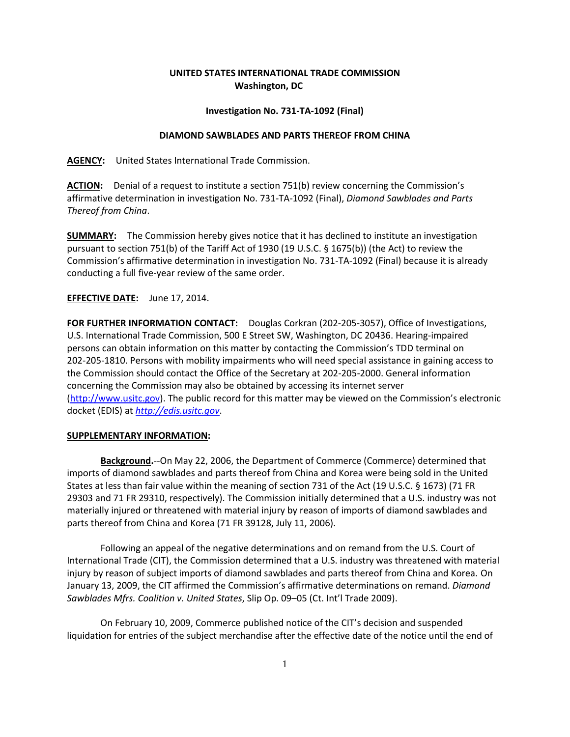# **UNITED STATES INTERNATIONAL TRADE COMMISSION Washington, DC**

### **Investigation No. 731-TA-1092 (Final)**

### **DIAMOND SAWBLADES AND PARTS THEREOF FROM CHINA**

**AGENCY:** United States International Trade Commission.

**ACTION:** Denial of a request to institute a section 751(b) review concerning the Commission's affirmative determination in investigation No. 731-TA-1092 (Final), *Diamond Sawblades and Parts Thereof from China*.

**SUMMARY:** The Commission hereby gives notice that it has declined to institute an investigation pursuant to section 751(b) of the Tariff Act of 1930 (19 U.S.C. § 1675(b)) (the Act) to review the Commission's affirmative determination in investigation No. 731-TA-1092 (Final) because it is already conducting a full five-year review of the same order.

## **EFFECTIVE DATE:** June 17, 2014.

**FOR FURTHER INFORMATION CONTACT:** Douglas Corkran (202-205-3057), Office of Investigations, U.S. International Trade Commission, 500 E Street SW, Washington, DC 20436. Hearing-impaired persons can obtain information on this matter by contacting the Commission's TDD terminal on 202-205-1810. Persons with mobility impairments who will need special assistance in gaining access to the Commission should contact the Office of the Secretary at 202-205-2000. General information concerning the Commission may also be obtained by accessing its internet server (http://www.usitc.gov). The public record for this matter may be viewed on the Commission's electronic docket (EDIS) at *[http://edis.usitc.gov](http://edis.usitc.gov/)*.

### **SUPPLEMENTARY INFORMATION:**

**Background.**--On May 22, 2006, the Department of Commerce (Commerce) determined that imports of diamond sawblades and parts thereof from China and Korea were being sold in the United States at less than fair value within the meaning of section 731 of the Act (19 U.S.C. § 1673) (71 FR 29303 and 71 FR 29310, respectively). The Commission initially determined that a U.S. industry was not materially injured or threatened with material injury by reason of imports of diamond sawblades and parts thereof from China and Korea (71 FR 39128, July 11, 2006).

Following an appeal of the negative determinations and on remand from the U.S. Court of International Trade (CIT), the Commission determined that a U.S. industry was threatened with material injury by reason of subject imports of diamond sawblades and parts thereof from China and Korea. On January 13, 2009, the CIT affirmed the Commission's affirmative determinations on remand. *Diamond Sawblades Mfrs. Coalition v. United States*, Slip Op. 09–05 (Ct. Int'l Trade 2009).

On February 10, 2009, Commerce published notice of the CIT's decision and suspended liquidation for entries of the subject merchandise after the effective date of the notice until the end of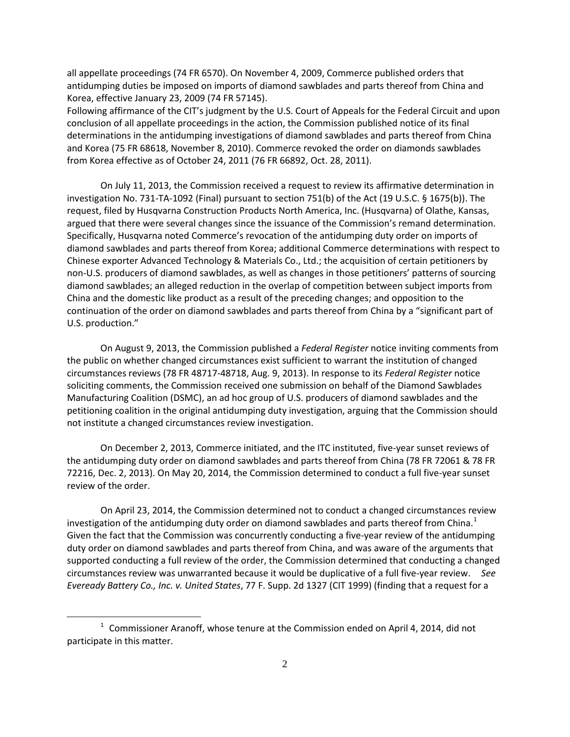all appellate proceedings (74 FR 6570). On November 4, 2009, Commerce published orders that antidumping duties be imposed on imports of diamond sawblades and parts thereof from China and Korea, effective January 23, 2009 (74 FR 57145).

Following affirmance of the CIT's judgment by the U.S. Court of Appeals for the Federal Circuit and upon conclusion of all appellate proceedings in the action, the Commission published notice of its final determinations in the antidumping investigations of diamond sawblades and parts thereof from China and Korea (75 FR 68618, November 8, 2010). Commerce revoked the order on diamonds sawblades from Korea effective as of October 24, 2011 (76 FR 66892, Oct. 28, 2011).

On July 11, 2013, the Commission received a request to review its affirmative determination in investigation No. 731-TA-1092 (Final) pursuant to section 751(b) of the Act (19 U.S.C. § 1675(b)). The request, filed by Husqvarna Construction Products North America, Inc. (Husqvarna) of Olathe, Kansas, argued that there were several changes since the issuance of the Commission's remand determination. Specifically, Husqvarna noted Commerce's revocation of the antidumping duty order on imports of diamond sawblades and parts thereof from Korea; additional Commerce determinations with respect to Chinese exporter Advanced Technology & Materials Co., Ltd.; the acquisition of certain petitioners by non-U.S. producers of diamond sawblades, as well as changes in those petitioners' patterns of sourcing diamond sawblades; an alleged reduction in the overlap of competition between subject imports from China and the domestic like product as a result of the preceding changes; and opposition to the continuation of the order on diamond sawblades and parts thereof from China by a "significant part of U.S. production."

On August 9, 2013, the Commission published a *Federal Register* notice inviting comments from the public on whether changed circumstances exist sufficient to warrant the institution of changed circumstances reviews (78 FR 48717-48718, Aug. 9, 2013). In response to its *Federal Register* notice soliciting comments, the Commission received one submission on behalf of the Diamond Sawblades Manufacturing Coalition (DSMC), an ad hoc group of U.S. producers of diamond sawblades and the petitioning coalition in the original antidumping duty investigation, arguing that the Commission should not institute a changed circumstances review investigation.

On December 2, 2013, Commerce initiated, and the ITC instituted, five-year sunset reviews of the antidumping duty order on diamond sawblades and parts thereof from China (78 FR 72061 & 78 FR 72216, Dec. 2, 2013). On May 20, 2014, the Commission determined to conduct a full five-year sunset review of the order.

On April 23, 2014, the Commission determined not to conduct a changed circumstances review investigation of the antidumping duty order on diamond sawblades and parts thereof from China.<sup>[1](#page-1-0)</sup> Given the fact that the Commission was concurrently conducting a five-year review of the antidumping duty order on diamond sawblades and parts thereof from China, and was aware of the arguments that supported conducting a full review of the order, the Commission determined that conducting a changed circumstances review was unwarranted because it would be duplicative of a full five-year review. *See Eveready Battery Co., Inc. v. United States*, 77 F. Supp. 2d 1327 (CIT 1999) (finding that a request for a

 $\overline{a}$ 

<span id="page-1-0"></span> $1$  Commissioner Aranoff, whose tenure at the Commission ended on April 4, 2014, did not participate in this matter.